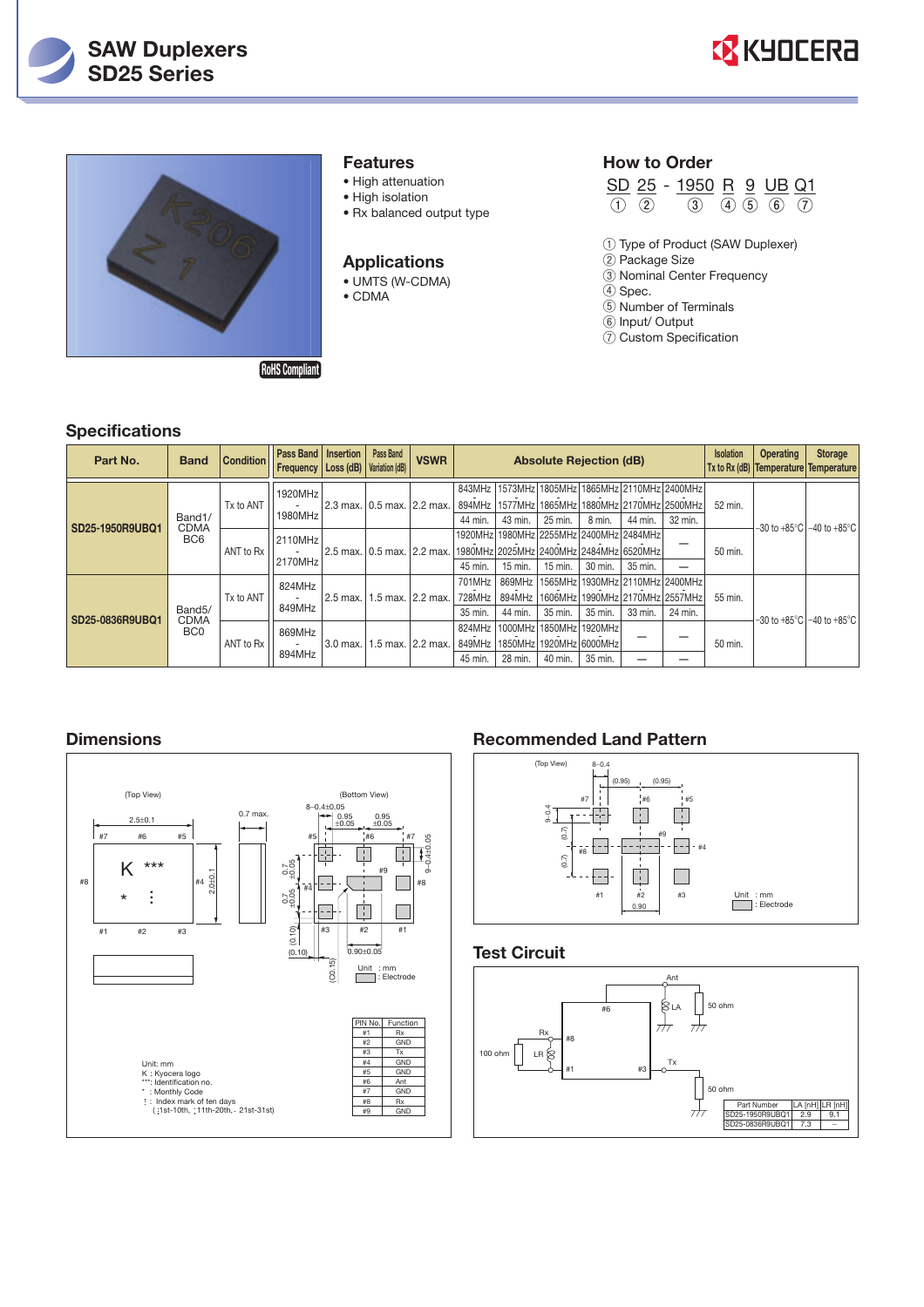





#### **Features**

- High attenuation
- High isolation
- Rx balanced output type

#### **Applications**

• UMTS (W-CDMA) • CDMA

#### **How to Order**

|  | SD 25 - 1950 R 9 UB Q1                    |  |  |
|--|-------------------------------------------|--|--|
|  | $(1)$ $(2)$ $(3)$ $(4)$ $(5)$ $(6)$ $(7)$ |  |  |

- ① Type of Product (SAW Duplexer)
- ② Package Size
- ③ Nominal Center Frequency
- ④ Spec.
- ⑤ Number of Terminals ⑥ Input/ Output
- ⑦ Custom Specification

| <b>Specifications</b> |                                                |                  |                                                |                                |                             |                                                                    |                                |                             |         |                                                                                     |                  |                  |                                                         |                              |                              |
|-----------------------|------------------------------------------------|------------------|------------------------------------------------|--------------------------------|-----------------------------|--------------------------------------------------------------------|--------------------------------|-----------------------------|---------|-------------------------------------------------------------------------------------|------------------|------------------|---------------------------------------------------------|------------------------------|------------------------------|
| Part No.              | <b>Band</b>                                    | <b>Condition</b> | Pass Band   Insertion<br>Frequency   Loss (dB) |                                | Pass Band<br>Variation (dB) | <b>VSWR</b>                                                        | <b>Absolute Rejection (dB)</b> |                             |         |                                                                                     | <b>Isolation</b> | <b>Operating</b> | <b>Storage</b><br>Tx to Rx (dB) Temperature Temperature |                              |                              |
| SD25-1950R9UBQ1       | Band1/<br><b>CDMA</b><br>BC <sub>6</sub>       | Tx to ANT        | 1920MHz<br>1980MHz                             | 2.3 max.   0.5 max.   2.2 max. |                             |                                                                    | 843MHz<br>894MHz<br>44 min.    | 43 min.                     | 25 min. | 1573MHz 1805MHz 1865MHz 2110MHz 2400MHz<br>8 min.                                   | 44 min.          | 32 min.          | 52 min.                                                 |                              |                              |
|                       |                                                | ANT to Rx        | 2110MHz<br>2170MHz                             |                                |                             | 2.5 max. 0.5 max. 2.2 max. 1980MHz 2025MHz 2400MHz 2484MHz 6520MHz | 45 min.                        | 15 min.                     | 15 min. | 1920MHz 1980MHz 2255MHz 2400MHz 2484MHz<br>30 min.                                  | 35 min.          | –                | 50 min.                                                 |                              | –30 to +85°C l−40 to +85°C l |
| SD25-0836R9UBQ1       | Band <sub>5</sub> /<br>CDMA<br>BC <sub>0</sub> | Tx to ANT        | 824MHz<br>849MHz                               | 2.5 max.                       | 1.5 max. 2.2 max.           |                                                                    | 701MHz<br>728MHz<br>35 min.    | 869MHz<br>894MHz<br>44 min. | 35 min. | 1565MHz   1930MHz   2110MHz   2400MHz<br>1606MHz 1990MHz 2170MHz 2557MHz<br>35 min. | 33 min.          | 24 min.          | 55 min.                                                 | –30 to +85°C l−40 to +85°C l |                              |
|                       |                                                | ANT to Rx        | 869MHz<br>894MHz                               | 3.0 max.                       | 1.5 max. 2.2 max.           |                                                                    | 824MHz<br>849MHz<br>45 min.    | 1850MHz<br>28 min.          | 40 min. | 1000MHz 1850MHz 1920MHz<br>1920MHz 6000MHz<br>35 min.                               |                  |                  | 50 min.                                                 |                              |                              |

### **Dimensions**



#### **Recommended Land Pattern**



#### **Test Circuit**

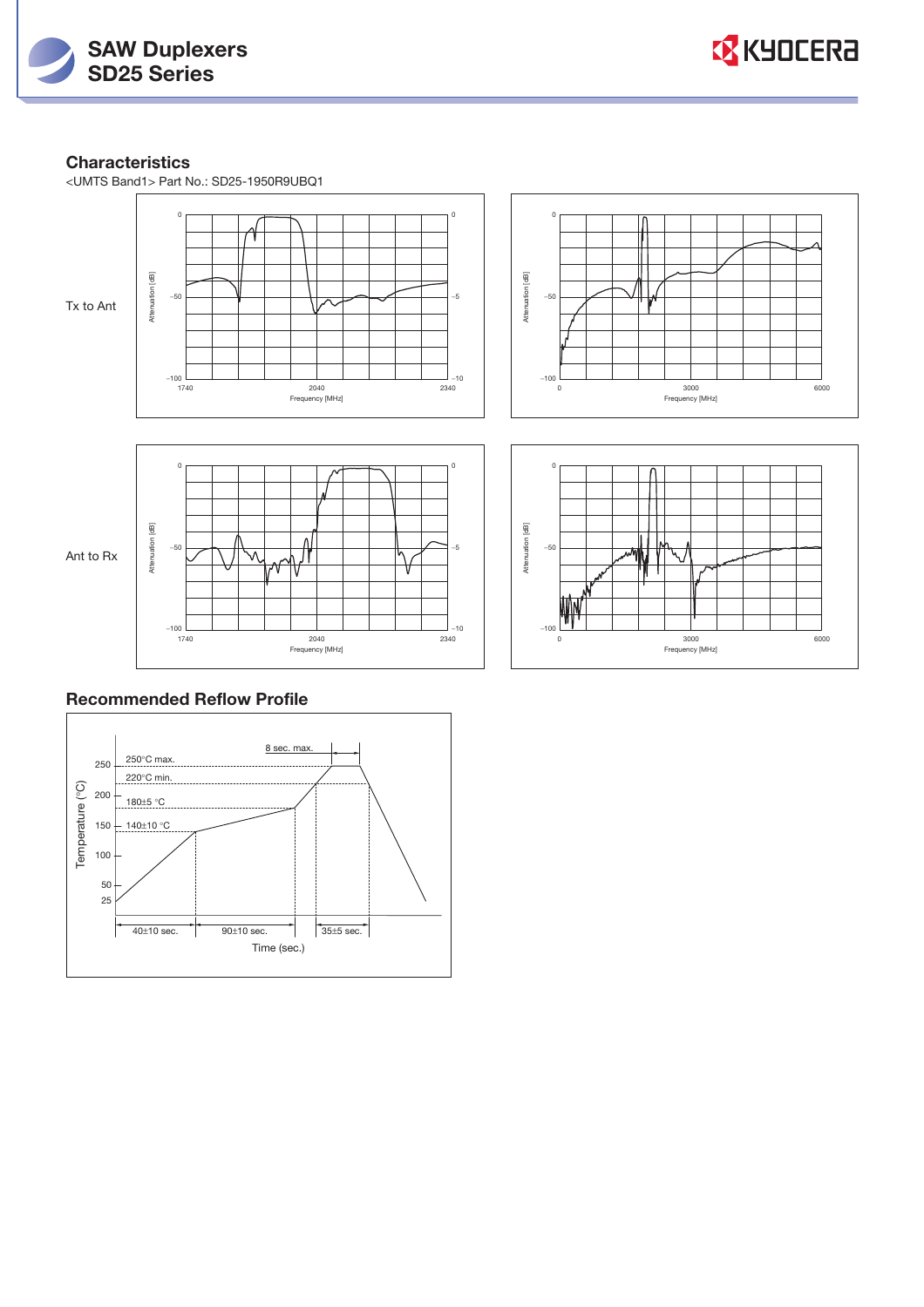



### **Characteristics**

<UMTS Band1> Part No.: SD25-1950R9UBQ1



## **Recommended Reflow Profile**